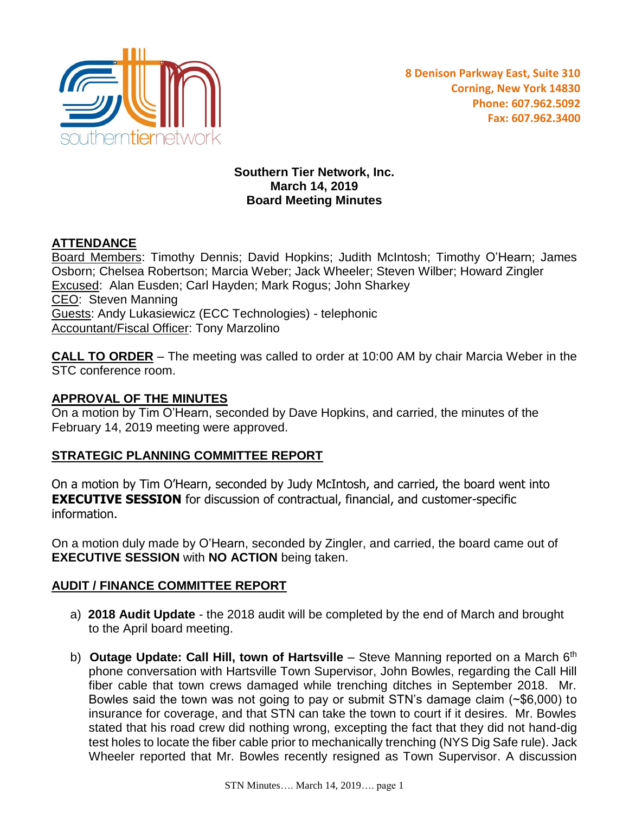

### **Southern Tier Network, Inc. March 14, 2019 Board Meeting Minutes**

# **ATTENDANCE**

Board Members: Timothy Dennis; David Hopkins; Judith McIntosh; Timothy O'Hearn; James Osborn; Chelsea Robertson; Marcia Weber; Jack Wheeler; Steven Wilber; Howard Zingler Excused: Alan Eusden; Carl Hayden; Mark Rogus; John Sharkey CEO: Steven Manning Guests: Andy Lukasiewicz (ECC Technologies) - telephonic **Accountant/Fiscal Officer: Tony Marzolino** 

**CALL TO ORDER** – The meeting was called to order at 10:00 AM by chair Marcia Weber in the STC conference room.

### **APPROVAL OF THE MINUTES**

On a motion by Tim O'Hearn, seconded by Dave Hopkins, and carried, the minutes of the February 14, 2019 meeting were approved.

## **STRATEGIC PLANNING COMMITTEE REPORT**

On a motion by Tim O'Hearn, seconded by Judy McIntosh, and carried, the board went into **EXECUTIVE SESSION** for discussion of contractual, financial, and customer-specific information.

On a motion duly made by O'Hearn, seconded by Zingler, and carried, the board came out of **EXECUTIVE SESSION** with **NO ACTION** being taken.

## **AUDIT / FINANCE COMMITTEE REPORT**

- a) **2018 Audit Update** the 2018 audit will be completed by the end of March and brought to the April board meeting.
- b) **Outage Update: Call Hill, town of Hartsville** Steve Manning reported on a March 6<sup>th</sup> phone conversation with Hartsville Town Supervisor, John Bowles, regarding the Call Hill fiber cable that town crews damaged while trenching ditches in September 2018. Mr. Bowles said the town was not going to pay or submit STN's damage claim (~\$6,000) to insurance for coverage, and that STN can take the town to court if it desires. Mr. Bowles stated that his road crew did nothing wrong, excepting the fact that they did not hand-dig test holes to locate the fiber cable prior to mechanically trenching (NYS Dig Safe rule). Jack Wheeler reported that Mr. Bowles recently resigned as Town Supervisor. A discussion